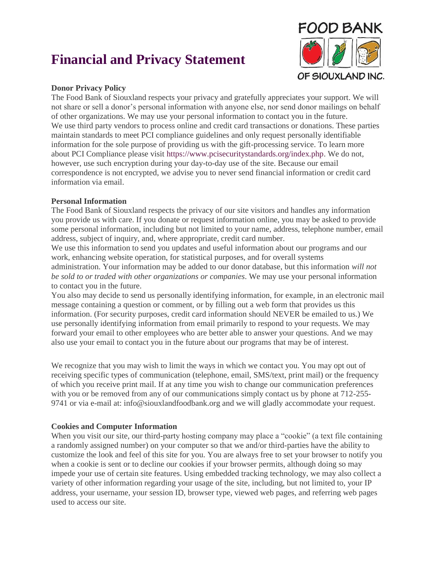# **Financial and Privacy Statement**



## **Donor Privacy Policy**

The Food Bank of Siouxland respects your privacy and gratefully appreciates your support. We will not share or sell a donor's personal information with anyone else, nor send donor mailings on behalf of other organizations. We may use your personal information to contact you in the future. We use third party vendors to process online and credit card transactions or donations. These parties maintain standards to meet PCI compliance guidelines and only request personally identifiable information for the sole purpose of providing us with the gift-processing service. To learn more about PCI Compliance please visit [https://www.pcisecuritystandards.org/index.php.](https://www.pcisecuritystandards.org/index.php) We do not, however, use such encryption during your day-to-day use of the site. Because our email correspondence is not encrypted, we advise you to never send financial information or credit card information via email.

## **Personal Information**

The Food Bank of Siouxland respects the privacy of our site visitors and handles any information you provide us with care. If you donate or request information online, you may be asked to provide some personal information, including but not limited to your name, address, telephone number, email address, subject of inquiry, and, where appropriate, credit card number.

We use this information to send you updates and useful information about our programs and our work, enhancing website operation, for statistical purposes, and for overall systems administration. Your information may be added to our donor database, but this information *will not be sold to or traded with other organizations or companies*. We may use your personal information to contact you in the future.

You also may decide to send us personally identifying information, for example, in an electronic mail message containing a question or comment, or by filling out a web form that provides us this information. (For security purposes, credit card information should NEVER be emailed to us.) We use personally identifying information from email primarily to respond to your requests. We may forward your email to other employees who are better able to answer your questions. And we may also use your email to contact you in the future about our programs that may be of interest.

We recognize that you may wish to limit the ways in which we contact you. You may opt out of receiving specific types of communication (telephone, email, SMS/text, print mail) or the frequency of which you receive print mail. If at any time you wish to change our communication preferences with you or be removed from any of our communications simply contact us by phone at 712-255-9741 or via e-mail at: info@siouxlandfoodbank.org and we will gladly accommodate your request.

# **Cookies and Computer Information**

When you visit our site, our third-party hosting company may place a "cookie" (a text file containing a randomly assigned number) on your computer so that we and/or third-parties have the ability to customize the look and feel of this site for you. You are always free to set your browser to notify you when a cookie is sent or to decline our cookies if your browser permits, although doing so may impede your use of certain site features. Using embedded tracking technology, we may also collect a variety of other information regarding your usage of the site, including, but not limited to, your IP address, your username, your session ID, browser type, viewed web pages, and referring web pages used to access our site.